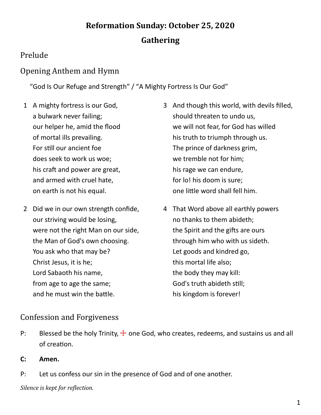# **Reformation Sunday: October 25, 2020 Gathering**

## Prelude

### Opening Anthem and Hymn

"God Is Our Refuge and Strength" / "A Mighty Fortress Is Our God"

- 1 A mighty fortress is our God, a bulwark never failing; our helper he, amid the flood of mortal ills prevailing. For still our ancient foe does seek to work us woe; his craft and power are great, and armed with cruel hate, on earth is not his equal.
- 2 Did we in our own strength confide, our striving would be losing, were not the right Man on our side, the Man of God's own choosing. You ask who that may be? Christ Jesus, it is he; Lord Sabaoth his name, from age to age the same; and he must win the battle.
- 3 And though this world, with devils filled, should threaten to undo us, we will not fear, for God has willed his truth to triumph through us. The prince of darkness grim, we tremble not for him; his rage we can endure, for lo! his doom is sure; one little word shall fell him.
- 4 That Word above all earthly powers no thanks to them abideth; the Spirit and the gifts are ours through him who with us sideth. Let goods and kindred go, this mortal life also; the body they may kill: God's truth abideth still; his kingdom is forever!

### Confession and Forgiveness

- P: Blessed be the holy Trinity,  $\pm$  one God, who creates, redeems, and sustains us and all of creation.
- **C: Amen.**
- P: Let us confess our sin in the presence of God and of one another.

*Silence is kept for reflection.*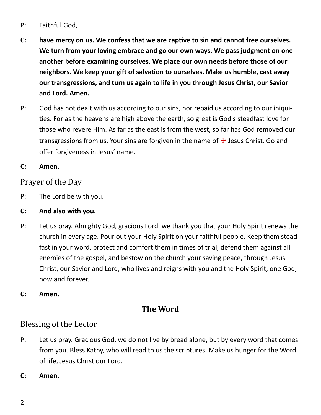#### P: Faithful God,

- **C: have mercy on us. We confess that we are captive to sin and cannot free ourselves. We turn from your loving embrace and go our own ways. We pass judgment on one another before examining ourselves. We place our own needs before those of our neighbors. We keep your gift of salvation to ourselves. Make us humble, cast away our transgressions, and turn us again to life in you through Jesus Christ, our Savior and Lord. Amen.**
- P: God has not dealt with us according to our sins, nor repaid us according to our iniquities. For as the heavens are high above the earth, so great is God's steadfast love for those who revere Him. As far as the east is from the west, so far has God removed our transgressions from us. Your sins are forgiven in the name of  $\pm$  Jesus Christ. Go and offer forgiveness in Jesus' name.

#### **C: Amen.**

#### Prayer of the Day

- P: The Lord be with you.
- **C: And also with you.**
- P: Let us pray. Almighty God, gracious Lord, we thank you that your Holy Spirit renews the church in every age. Pour out your Holy Spirit on your faithful people. Keep them steadfast in your word, protect and comfort them in times of trial, defend them against all enemies of the gospel, and bestow on the church your saving peace, through Jesus Christ, our Savior and Lord, who lives and reigns with you and the Holy Spirit, one God, now and forever.
- **C: Amen.**

## **The Word**

#### Blessing of the Lector

- P: Let us pray. Gracious God, we do not live by bread alone, but by every word that comes from you. Bless Kathy, who will read to us the scriptures. Make us hunger for the Word of life, Jesus Christ our Lord.
- **C: Amen.**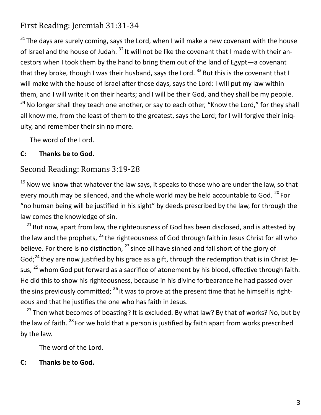## First Reading: Jeremiah 31:31-34

 $31$  The days are surely coming, says the Lord, when I will make a new covenant with the house of Israel and the house of Judah.<sup>32</sup> It will not be like the covenant that I made with their ancestors when I took them by the hand to bring them out of the land of Egypt—a covenant that they broke, though I was their husband, says the Lord.  $^{33}$  But this is the covenant that I will make with the house of Israel after those days, says the Lord: I will put my law within them, and I will write it on their hearts; and I will be their God, and they shall be my people.

 $34$  No longer shall they teach one another, or say to each other, "Know the Lord," for they shall all know me, from the least of them to the greatest, says the Lord; for I will forgive their iniquity, and remember their sin no more.

The word of the Lord.

#### **C: Thanks be to God.**

#### Second Reading: Romans 3:19-28

 $19$  Now we know that whatever the law says, it speaks to those who are under the law, so that every mouth may be silenced, and the whole world may be held accountable to God. <sup>20</sup> For "no human being will be justified in his sight" by deeds prescribed by the law, for through the law comes the knowledge of sin.

 $21$  But now, apart from law, the righteousness of God has been disclosed, and is attested by the law and the prophets,  $^{22}$  the righteousness of God through faith in Jesus Christ for all who believe. For there is no distinction,  $^{23}$  since all have sinned and fall short of the glory of God; $^{24}$  they are now justified by his grace as a gift, through the redemption that is in Christ Jesus,  $^{25}$  whom God put forward as a sacrifice of atonement by his blood, effective through faith. He did this to show his righteousness, because in his divine forbearance he had passed over the sins previously committed;  $^{26}$  it was to prove at the present time that he himself is righteous and that he justifies the one who has faith in Jesus.

<sup>27</sup> Then what becomes of boasting? It is excluded. By what law? By that of works? No, but by the law of faith. <sup>28</sup> For we hold that a person is justified by faith apart from works prescribed by the law.

The word of the Lord.

#### **C: Thanks be to God.**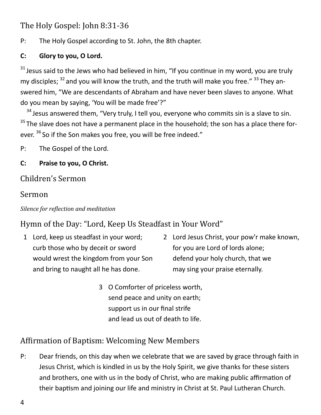## The Holy Gospel: John 8:31-36

P: The Holy Gospel according to St. John, the 8th chapter.

#### **C: Glory to you, O Lord.**

 $31$  Jesus said to the Jews who had believed in him, "If you continue in my word, you are truly my disciples:  $32$  and you will know the truth, and the truth will make you free."  $33$  They answered him, "We are descendants of Abraham and have never been slaves to anyone. What do you mean by saying, 'You will be made free'?"

 $34$  Jesus answered them, "Very truly, I tell you, everyone who commits sin is a slave to sin.  $35$  The slave does not have a permanent place in the household; the son has a place there forever. <sup>36</sup> So if the Son makes you free, you will be free indeed."

P: The Gospel of the Lord.

#### **C: Praise to you, O Christ.**

### Children's Sermon

### Sermon

#### *Silence for reflection and meditation*

## Hymn of the Day: "Lord, Keep Us Steadfast in Your Word"

- 1 Lord, keep us steadfast in your word; curb those who by deceit or sword would wrest the kingdom from your Son and bring to naught all he has done.
- 2 Lord Jesus Christ, your pow'r make known, for you are Lord of lords alone; defend your holy church, that we may sing your praise eternally.
- 3 O Comforter of priceless worth, send peace and unity on earth; support us in our final strife and lead us out of death to life.

# Affirmation of Baptism: Welcoming New Members

P: Dear friends, on this day when we celebrate that we are saved by grace through faith in Jesus Christ, which is kindled in us by the Holy Spirit, we give thanks for these sisters and brothers, one with us in the body of Christ, who are making public affirmation of their baptism and joining our life and ministry in Christ at St. Paul Lutheran Church.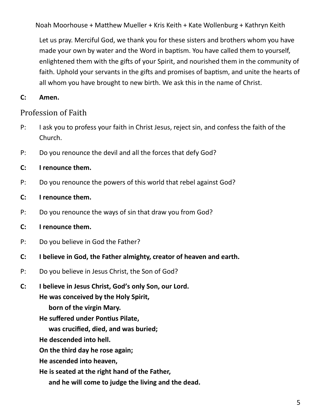Noah Moorhouse + Matthew Mueller + Kris Keith + Kate Wollenburg + Kathryn Keith

Let us pray. Merciful God, we thank you for these sisters and brothers whom you have made your own by water and the Word in baptism. You have called them to yourself, enlightened them with the gifts of your Spirit, and nourished them in the community of faith. Uphold your servants in the gifts and promises of baptism, and unite the hearts of all whom you have brought to new birth. We ask this in the name of Christ.

#### **C: Amen.**

#### Profession of Faith

- P: I ask you to profess your faith in Christ Jesus, reject sin, and confess the faith of the Church.
- P: Do you renounce the devil and all the forces that defy God?

#### **C: I renounce them.**

- P: Do you renounce the powers of this world that rebel against God?
- **C: I renounce them.**
- P: Do you renounce the ways of sin that draw you from God?
- **C: I renounce them.**
- P: Do you believe in God the Father?
- **C: I believe in God, the Father almighty, creator of heaven and earth.**
- P: Do you believe in Jesus Christ, the Son of God?
- **C: I believe in Jesus Christ, God's only Son, our Lord.**

**He was conceived by the Holy Spirit,**

**born of the virgin Mary.**

**He suffered under Pontius Pilate,**

**was crucified, died, and was buried;**

**He descended into hell.**

**On the third day he rose again;**

**He ascended into heaven,**

**He is seated at the right hand of the Father,**

**and he will come to judge the living and the dead.**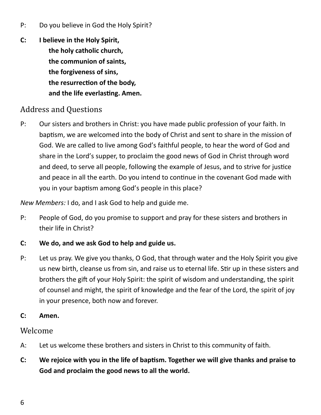- P: Do you believe in God the Holy Spirit?
- **C: I believe in the Holy Spirit, the holy catholic church, the communion of saints, the forgiveness of sins, the resurrection of the body, and the life everlasting. Amen.**

### Address and Questions

P: Our sisters and brothers in Christ: you have made public profession of your faith. In baptism, we are welcomed into the body of Christ and sent to share in the mission of God. We are called to live among God's faithful people, to hear the word of God and share in the Lord's supper, to proclaim the good news of God in Christ through word and deed, to serve all people, following the example of Jesus, and to strive for justice and peace in all the earth. Do you intend to continue in the covenant God made with you in your baptism among God's people in this place?

*New Members:* I do, and I ask God to help and guide me.

- P: People of God, do you promise to support and pray for these sisters and brothers in their life in Christ?
- **C: We do, and we ask God to help and guide us.**
- P: Let us pray. We give you thanks, O God, that through water and the Holy Spirit you give us new birth, cleanse us from sin, and raise us to eternal life. Stir up in these sisters and brothers the gift of your Holy Spirit: the spirit of wisdom and understanding, the spirit of counsel and might, the spirit of knowledge and the fear of the Lord, the spirit of joy in your presence, both now and forever.
- **C: Amen.**

#### Welcome

- A: Let us welcome these brothers and sisters in Christ to this community of faith.
- **C: We rejoice with you in the life of baptism. Together we will give thanks and praise to God and proclaim the good news to all the world.**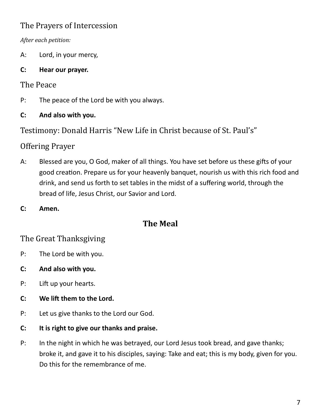# The Prayers of Intercession

*After each petition:*

- A: Lord, in your mercy,
- **C: Hear our prayer.**

### The Peace

- P: The peace of the Lord be with you always.
- **C: And also with you.**

Testimony: Donald Harris "New Life in Christ because of St. Paul's"

## Offering Prayer

- A: Blessed are you, O God, maker of all things. You have set before us these gifts of your good creation. Prepare us for your heavenly banquet, nourish us with this rich food and drink, and send us forth to set tables in the midst of a suffering world, through the bread of life, Jesus Christ, our Savior and Lord.
- **C: Amen.**

# **The Meal**

# The Great Thanksgiving

- P: The Lord be with you.
- **C: And also with you.**
- P: Lift up your hearts.
- **C: We lift them to the Lord.**
- P: Let us give thanks to the Lord our God.
- **C: It is right to give our thanks and praise.**
- P: In the night in which he was betrayed, our Lord Jesus took bread, and gave thanks; broke it, and gave it to his disciples, saying: Take and eat; this is my body, given for you. Do this for the remembrance of me.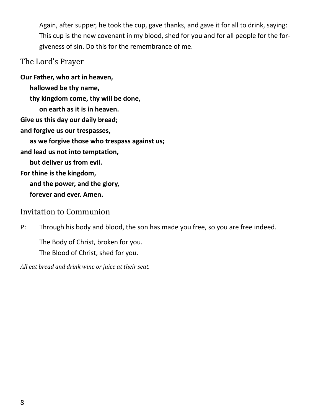Again, after supper, he took the cup, gave thanks, and gave it for all to drink, saying: This cup is the new covenant in my blood, shed for you and for all people for the forgiveness of sin. Do this for the remembrance of me.

#### The Lord's Prayer

**Our Father, who art in heaven, hallowed be thy name, thy kingdom come, thy will be done, on earth as it is in heaven. Give us this day our daily bread; and forgive us our trespasses, as we forgive those who trespass against us; and lead us not into temptation, but deliver us from evil. For thine is the kingdom, and the power, and the glory, forever and ever. Amen.**

#### Invitation to Communion

P: Through his body and blood, the son has made you free, so you are free indeed.

The Body of Christ, broken for you. The Blood of Christ, shed for you.

*All eat bread and drink wine or juice at their seat.*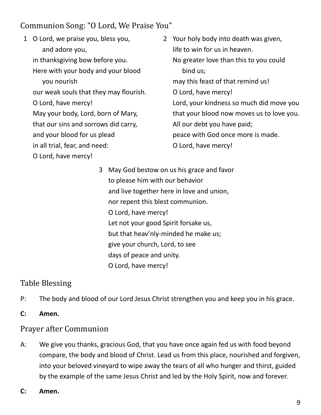## Communion Song: "O Lord, We Praise You"

- 1 O Lord, we praise you, bless you, and adore you, in thanksgiving bow before you. Here with your body and your blood you nourish our weak souls that they may flourish. O Lord, have mercy! May your body, Lord, born of Mary, that our sins and sorrows did carry, and your blood for us plead in all trial, fear, and need: O Lord, have mercy!
- 2 Your holy body into death was given, life to win for us in heaven. No greater love than this to you could bind us; may this feast of that remind us! O Lord, have mercy! Lord, your kindness so much did move you that your blood now moves us to love you. All our debt you have paid; peace with God once more is made. O Lord, have mercy!
	- 3 May God bestow on us his grace and favor to please him with our behavior and live together here in love and union, nor repent this blest communion. O Lord, have mercy! Let not your good Spirit forsake us, but that heav'nly-minded he make us; give your church, Lord, to see days of peace and unity. O Lord, have mercy!

## Table Blessing

- P: The body and blood of our Lord Jesus Christ strengthen you and keep you in his grace.
- **C: Amen.**

### Prayer after Communion

- A: We give you thanks, gracious God, that you have once again fed us with food beyond compare, the body and blood of Christ. Lead us from this place, nourished and forgiven, into your beloved vineyard to wipe away the tears of all who hunger and thirst, guided by the example of the same Jesus Christ and led by the Holy Spirit, now and forever.
- **C: Amen.**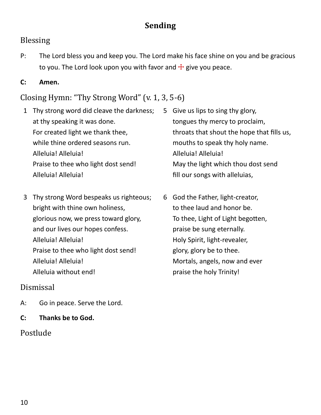# **Sending**

#### Blessing

P: The Lord bless you and keep you. The Lord make his face shine on you and be gracious to you. The Lord look upon you with favor and  $\pm$  give you peace.

#### **C: Amen.**

### Closing Hymn: "Thy Strong Word" (v. 1, 3, 5-6)

- 1 Thy strong word did cleave the darkness; at thy speaking it was done. For created light we thank thee, while thine ordered seasons run. Alleluia! Alleluia! Praise to thee who light dost send! Alleluia! Alleluia!
- 3 Thy strong Word bespeaks us righteous; bright with thine own holiness, glorious now, we press toward glory, and our lives our hopes confess. Alleluia! Alleluia! Praise to thee who light dost send! Alleluia! Alleluia! Alleluia without end!

#### Dismissal

- A: Go in peace. Serve the Lord.
- **C: Thanks be to God.**

### Postlude

- 5 Give us lips to sing thy glory, tongues thy mercy to proclaim, throats that shout the hope that fills us, mouths to speak thy holy name. Alleluia! Alleluia! May the light which thou dost send fill our songs with alleluias,
- 6 God the Father, light-creator, to thee laud and honor be. To thee, Light of Light begotten, praise be sung eternally. Holy Spirit, light-revealer, glory, glory be to thee. Mortals, angels, now and ever praise the holy Trinity!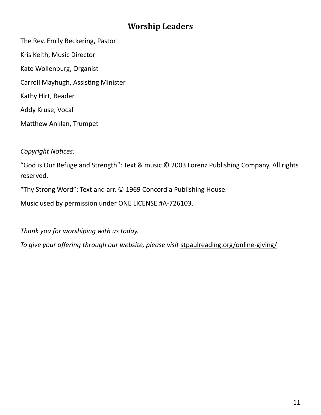## **Worship Leaders**

The Rev. Emily Beckering, Pastor Kris Keith, Music Director Kate Wollenburg, Organist Carroll Mayhugh, Assisting Minister Kathy Hirt, Reader Addy Kruse, Vocal Matthew Anklan, Trumpet

*Copyright Notices:*

"God is Our Refuge and Strength": Text & music © 2003 Lorenz Publishing Company. All rights reserved.

"Thy Strong Word": Text and arr. © 1969 Concordia Publishing House.

Music used by permission under ONE LICENSE #A-726103.

*Thank you for worshiping with us today.*

*To give your offering through our website, please visit* stpaulreading.org/online-giving/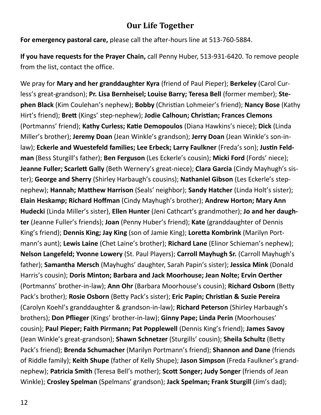### **Our Life Together**

**For emergency pastoral care,** please call the after-hours line at 513-760-5884.

**If you have requests for the Prayer Chain,** call Penny Huber, 513-931-6420. To remove people from the list, contact the office.

We pray for **Mary and her granddaughter Kyra** (friend of Paul Pieper); **Berkeley** (Carol Curless's great-grandson); **Pr. Lisa Bernheisel; Louise Barry; Teresa Bell** (former member); **Stephen Black** (Kim Coulehan's nephew); **Bobby** (Christian Lohmeier's friend); **Nancy Bose** (Kathy Hirt's friend); **Brett** (Kings' step-nephew); **Jodie Calhoun; Christian; Frances Clemons**  (Portmanns' friend); **Kathy Curless; Katie Demopoulos** (Diana Hawkins's niece); **Dick** (Linda Miller's brother); **Jeremy Doan** (Jean Winkle's grandson); **Jerry Doan** (Jean Winkle's son-inlaw); Eckerle and Wuestefeld families; Lee Erbeck; Larry Faulkner (Freda's son); Justin Feld**man** (Bess Sturgill's father); **Ben Ferguson** (Les Eckerle's cousin); **Micki Ford** (Fords' niece); **Jeanne Fuller; Scarlett Gally** (Beth Wernery's great-niece); **Clara Garcia** (Cindy Mayhugh's sister); **George and Sherry** (Shirley Harbaugh's cousins); **Nathaniel Gibson** (Les Eckerle's stepnephew); **Hannah; Matthew Harrison** (Seals' neighbor); **Sandy Hatcher** (Linda Holt's sister); **Elain Heskamp; Richard Hoffman** (Cindy Mayhugh's brother); **Andrew Horton; Mary Ann Hudecki** (Linda Miller's sister), **Ellen Hunter** (Jeni Cathcart's grandmother); **Jo and her daughter** (Jeanne Fuller's friends); **Joan** (Penny Huber's friend); **Kate** (granddaughter of Dennis King's friend); **Dennis King; Jay King** (son of Jamie King); **Loretta Kombrink** (Marilyn Portmann's aunt); **Lewis Laine** (Chet Laine's brother); **Richard Lane** (Elinor Schieman's nephew); **Nelson Langefeld; Yvonne Lowery** (St. Paul Players); **Carroll Mayhugh Sr.** (Carroll Mayhugh's father); **Samantha Mersch** (Mayhughs' daughter, Sarah Papin's sister); **Jessica Mink** (Donald Harris's cousin); **Doris Minton; Barbara and Jack Moorhouse; Jean Nolte; Ervin Oerther**  (Portmanns' brother-in-law); **Ann Ohr** (Barbara Moorhouse's cousin); **Richard Osborn** (Betty Pack's brother); **Rosie Osborn** (Betty Pack's sister); **Eric Papin; Christian & Suzie Pereira**  (Carolyn Koehl's granddaughter & grandson-in-law); **Richard Peterson** (Shirley Harbaugh's brothers); **Don Pflieger** (Kings' brother-in-law); **Ginny Pape; Linda Perin** (Moorhouses' cousin); **Paul Pieper; Faith Pirrmann; Pat Popplewell** (Dennis King's friend); **James Savoy**  (Jean Winkle's great-grandson); **Shawn Schnetzer** (Sturgills' cousin); **Sheila Schultz** (Betty Pack's friend); **Brenda Schumacher** (Marilyn Portmann's friend); **Shannon and Dane** (friends of Riddle family); **Keith Shupe** (father of Kelly Shupe); **Jason Simpson** (Freda Faulkner's grandnephew); **Patricia Smith** (Teresa Bell's mother); **Scott Songer; Judy Songer** (friends of Jean Winkle); **Crosley Spelman** (Spelmans' grandson); **Jack Spelman; Frank Sturgill** (Jim's dad);